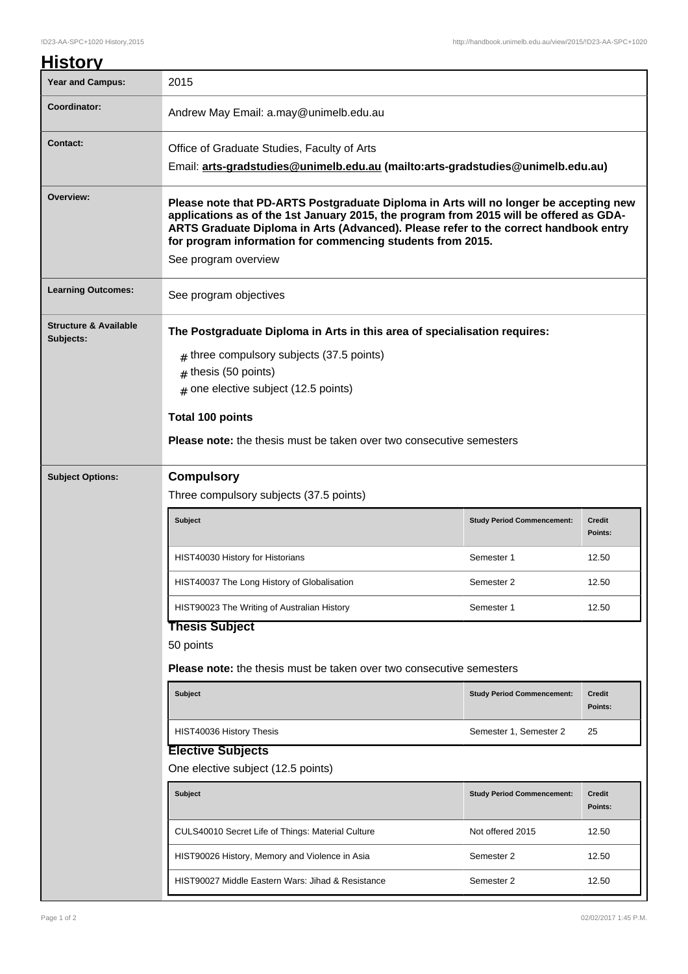## **History** Year and Campus: 2015 **Coordinator:** Andrew May Email: a.may@unimelb.edu.au **Contact:** Office of Graduate Studies, Faculty of Arts Email: **arts-gradstudies@unimelb.edu.au (mailto:arts-gradstudies@unimelb.edu.au) Overview: Please note that PD-ARTS Postgraduate Diploma in Arts will no longer be accepting new applications as of the 1st January 2015, the program from 2015 will be offered as GDA-ARTS Graduate Diploma in Arts (Advanced). Please refer to the correct handbook entry for program information for commencing students from 2015.** See program overview Learning Outcomes:<br>
See program objectives **Structure & Available Subjects: The Postgraduate Diploma in Arts in this area of specialisation requires:**  $_{\#}$  three compulsory subjects (37.5 points)  $#$  thesis (50 points)  $_{\rm \#}$  one elective subject (12.5 points) **Total 100 points Please note:** the thesis must be taken over two consecutive semesters **Subject Options: Compulsory** Three compulsory subjects (37.5 points) **Subject Study Period Commencement: Credit Points:** HIST40030 History for Historians Network 1 2.50 HIST40037 The Long History of Globalisation Semester 2 3 12.50 HIST90023 The Writing of Australian History **Semester 1** 12.50 **Thesis Subject** 50 points **Please note:** the thesis must be taken over two consecutive semesters **Subject Study Period Commencement: Credit Points:** HIST40036 History Thesis Semester 2 25 **Elective Subjects** One elective subject (12.5 points) **Subject Study Period Commencement: Credit Points:** CULS40010 Secret Life of Things: Material Culture Not offered 2015 12.50 HIST90026 History, Memory and Violence in Asia Semester 2 12.50

HIST90027 Middle Eastern Wars: Jihad & Resistance Semester 2 12.50